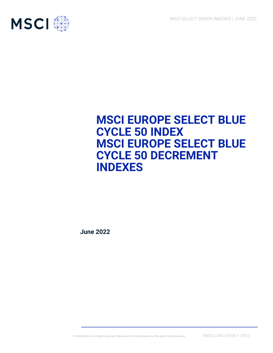

# **MSCI EUROPE SELECT BLUE CYCLE 50 INDEX MSCI EUROPE SELECT BLUE CYCLE 50 DECREMENT INDEXES**

**June 2022**

© 2022 MSCI Inc. All rights reserved. Please refer to the disclaimer at the end of this document. MSCI.COM | PAGE 1 OF23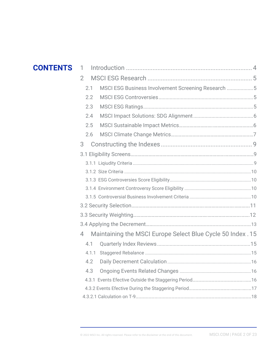| <b>CONTENTS</b> | 1              |                                                             |  |
|-----------------|----------------|-------------------------------------------------------------|--|
|                 | $\overline{2}$ |                                                             |  |
|                 | 2.1            | MSCI ESG Business Involvement Screening Research  5         |  |
|                 | 2.2            |                                                             |  |
|                 | 2.3            |                                                             |  |
|                 | 2.4            |                                                             |  |
|                 | 2.5            |                                                             |  |
|                 | 2.6            |                                                             |  |
|                 | 3              |                                                             |  |
|                 |                |                                                             |  |
|                 |                |                                                             |  |
|                 |                |                                                             |  |
|                 |                |                                                             |  |
|                 |                |                                                             |  |
|                 |                |                                                             |  |
|                 |                |                                                             |  |
|                 |                |                                                             |  |
|                 |                |                                                             |  |
|                 | $\overline{4}$ | Maintaining the MSCI Europe Select Blue Cycle 50 Index . 15 |  |
|                 | 4.1            |                                                             |  |
|                 | 4.1.1          |                                                             |  |
|                 |                |                                                             |  |
|                 | 4.3            |                                                             |  |
|                 |                |                                                             |  |
|                 |                |                                                             |  |
|                 |                |                                                             |  |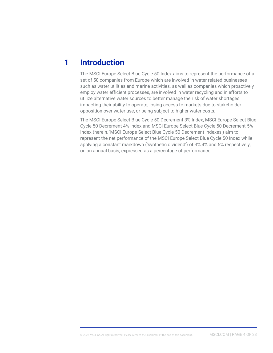# **1 Introduction**

The MSCI Europe Select Blue Cycle 50 Index aims to represent the performance of a set of 50 companies from Europe which are involved in water related businesses such as water utilities and marine activities, as well as companies which proactively employ water efficient processes, are involved in water recycling and in efforts to utilize alternative water sources to better manage the risk of water shortages impacting their ability to operate, losing access to markets due to stakeholder opposition over water use, or being subject to higher water costs.

The MSCI Europe Select Blue Cycle 50 Decrement 3% Index, MSCI Europe Select Blue Cycle 50 Decrement 4% Index and MSCI Europe Select Blue Cycle 50 Decrement 5% Index (herein, 'MSCI Europe Select Blue Cycle 50 Decrement Indexes') aim to represent the net performance of the MSCI Europe Select Blue Cycle 50 Index while applying a constant markdown ('synthetic dividend') of 3%,4% and 5% respectively, on an annual basis, expressed as a percentage of performance.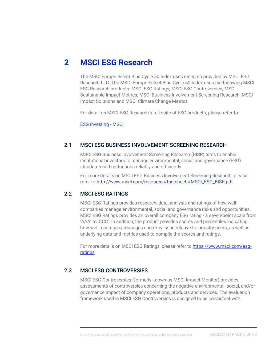# **2 MSCI ESG Research**

The MSCI Europe Select Blue Cycle 50 Index uses research provided by MSCI ESG Research LLC. The MSCI Europe Select Blue Cycle 50 Index uses the following MSCI ESG Research products: MSCI ESG Ratings, MSCI ESG Controversies, MSCI Sustainable Impact Metrics, MSCI Business Involvement Screening Research, MSCI Impact Solutions and MSCI Climate Change Metrics

For detail on MSCI ESG Research's full suite of ESG products, please refer to:

[ESG Investing -](https://www.msci.com/our-solutions/esg-investing) MSCI

# 2.1 MSCI ESG BUSINESS INVOLVEMENT SCREENING RESEARCH

MSCI ESG Business Involvement Screening Research (BISR) aims to enable institutional investors to manage environmental, social and governance (ESG) standards and restrictions reliably and efficiently.

For more details on MSCI ESG Business Involvement Screening Research, please refer to [http://www.msci.com/resources/factsheets/MSCI\\_ESG\\_BISR.pdf](http://www.msci.com/resources/factsheets/MSCI_ESG_BISR.pdf)

# 2.2 MSCI ESG RATINGS

MSCI ESG Ratings provides research, data, analysis and ratings of how well companies manage environmental, social and governance risks and opportunities. MSCI ESG Ratings provides an overall company ESG rating - a seven-point scale from 'AAA' to 'CCC'. In addition, the product provides scores and percentiles indicating how well a company manages each key issue relative to industry peers, as well as underlying data and metrics used to compile the scores and ratings.

For more details on MSCI ESG Ratings, please refer to [https://www.msci.com/esg](https://www.msci.com/esg-ratings)[ratings](https://www.msci.com/esg-ratings)

# 2.3 MSCI ESG CONTROVERSIES

MSCI ESG Controversies (formerly known as MSCI Impact Monitor) provides assessments of controversies concerning the negative environmental, social, and/or governance impact of company operations, products and services. The evaluation framework used in MSCI ESG Controversies is designed to be consistent with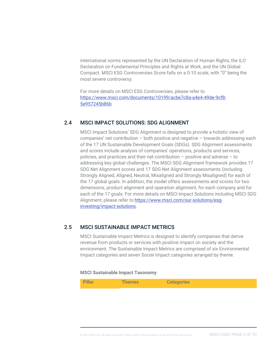international norms represented by the UN Declaration of Human Rights, the ILO Declaration on Fundamental Principles and Rights at Work, and the UN Global Compact. MSCI ESG Controversies Score falls on a 0-10 scale, with "0" being the most severe controversy.

For more details on MSCI ESG Controversies, please refer to [https://www.msci.com/documents/10199/acbe7c8a-a4e4-49de-9cf8-](https://www.msci.com/documents/10199/acbe7c8a-a4e4-49de-9cf8-5e957245b86b) [5e957245b86b](https://www.msci.com/documents/10199/acbe7c8a-a4e4-49de-9cf8-5e957245b86b)

# 2.4 MSCI IMPACT SOLUTIONS: SDG ALIGNMENT

MSCI Impact Solutions' SDG Alignment is designed to provide a holistic view of companies' net contribution – both positive and negative – towards addressing each of the 17 UN Sustainable Development Goals (SDGs). SDG Alignment assessments and scores include analysis of companies' operations, products and services, policies, and practices and their net contribution – positive and adverse – to addressing key global challenges. The MSCI SDG Alignment framework provides 17 SDG Net Alignment scores and 17 SDG Net Alignment assessments (including Strongly Aligned, Aligned, Neutral, Misaligned and Strongly Misaligned) for each of the 17 global goals. In addition, the model offers assessments and scores for two dimensions, product alignment and operation alignment, for each company and for each of the 17 goals. For more details on MSCI Impact Solutions including MSCI SDG Alignment, please refer to [https://www.msci.com/our-solutions/esg](https://www.msci.com/our-solutions/esg-investing/impact-solutions)[investing/impact-solutions.](https://www.msci.com/our-solutions/esg-investing/impact-solutions)

# 2.5 MSCI SUSTAINABLE IMPACT METRICS

MSCI Sustainable Impact Metrics is designed to identify companies that derive revenue from products or services with positive impact on society and the environment. The Sustainable Impact Metrics are comprised of six Environmental Impact categories and seven Social Impact categories arranged by theme.

#### **MSCI Sustainable Impact Taxonomy**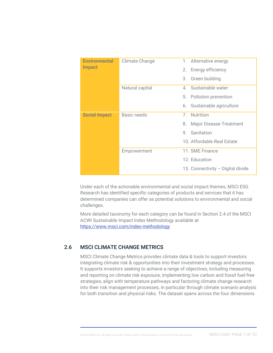| <b>Environmental</b> | Climate Change     |    | 1. Alternative energy             |
|----------------------|--------------------|----|-----------------------------------|
| <b>Impact</b>        |                    |    | 2. Energy efficiency              |
|                      |                    | 3. | Green building                    |
|                      | Natural capital    |    | 4. Sustainable water              |
|                      |                    |    | 5. Pollution prevention           |
|                      |                    | 6. | Sustainable agriculture           |
| <b>Social Impact</b> | <b>Basic needs</b> | 7. | Nutrition                         |
|                      |                    | 8. | <b>Major Disease Treatment</b>    |
|                      |                    | 9  | Sanitation                        |
|                      |                    |    | 10. Affordable Real Estate        |
|                      | Empowerment        |    | 11. SME Finance                   |
|                      |                    |    | 12. Education                     |
|                      |                    |    | 13. Connectivity - Digital divide |

Under each of the actionable environmental and social impact themes, MSCI ESG Research has identified specific categories of products and services that it has determined companies can offer as potential solutions to environmental and social challenges.

More detailed taxonomy for each category can be found in Section 2.4 of the MSCI ACWI Sustainable Impact Index Methodology available at <https://www.msci.com/index-methodology>

# 2.6 MSCI CLIMATE CHANGE METRICS

MSCI Climate Change Metrics provides climate data & tools to support investors integrating climate risk & opportunities into their investment strategy and processes. It supports investors seeking to achieve a range of objectives, including measuring and reporting on climate risk exposure, implementing low carbon and fossil fuel-free strategies, align with temperature pathways and factoring climate change research into their risk management processes, in particular through climate scenario analysis for both transition and physical risks. The dataset spans across the four dimensions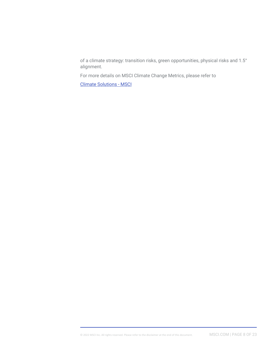of a climate strategy: transition risks, green opportunities, physical risks and 1.5° alignment.

For more details on MSCI Climate Change Metrics, please refer to

[Climate Solutions -](https://www.msci.com/climate-solutions/) MSCI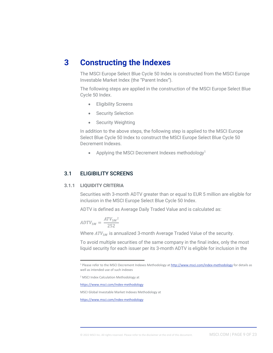# **3 Constructing the Indexes**

The MSCI Europe Select Blue Cycle 50 Index is constructed from the MSCI Europe Investable Market Index (the "Parent Index").

The following steps are applied in the construction of the MSCI Europe Select Blue Cycle 50 Index.

- Eligibility Screens
- Security Selection
- Security Weighting

In addition to the above steps, the following step is applied to the MSCI Europe Select Blue Cycle 50 Index to construct the MSCI Europe Select Blue Cycle 50 Decrement Indexes.

• Applying the MSCI Decrement Indexes methodology<sup>1</sup>

# 3.1 ELIGIBILITY SCREENS

#### **3.1.1 LIQUIDITY CRITERIA**

Securities with 3-month ADTV greater than or equal to EUR 5 million are eligible for inclusion in the MSCI Europe Select Blue Cycle 50 Index.

ADTV is defined as Average Daily Traded Value and is calculated as:

$$
ADTV_{3M} = \frac{ATV_{3M}^2}{252}
$$

Where  $ATV_{3M}$  is annualized 3-month Average Traded Value of the security.

To avoid multiple securities of the same company in the final index, only the most liquid security for each issuer per its 3-month ADTV is eligible for inclusion in the

MSCI Global Investable Market Indexes Methodology at

<https://www.msci.com/index-methodology>

<sup>&</sup>lt;sup>1</sup> Please refer to the MSCI Decrement Indexes Methodology a[t http://www.msci.com/index-methodology](http://www.msci.com/index-methodology) for details as well as intended use of such indexes

<sup>2</sup> MSCI Index Calculation Methodology at

<https://www.msci.com/index-methodology>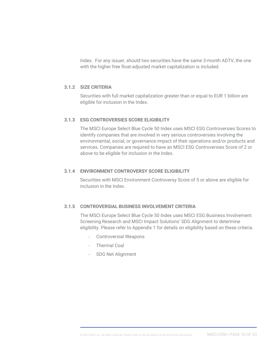Index. For any issuer, should two securities have the same 3-month ADTV, the one with the higher free float-adjusted market capitalization is included.

#### **3.1.2 SIZE CRITERIA**

Securities with full market capitalization greater than or equal to EUR 1 billion are eligible for inclusion in the Index.

#### **3.1.3 ESG CONTROVERSIES SCORE ELIGIBILITY**

The MSCI Europe Select Blue Cycle 50 Index uses MSCI ESG Controversies Scores to identify companies that are involved in very serious controversies involving the environmental, social, or governance impact of their operations and/or products and services. Companies are required to have an MSCI ESG Controversies Score of 2 or above to be eligible for inclusion in the Index.

### **3.1.4 ENVIRONMENT CONTROVERSY SCORE ELIGIBILITY**

Securities with MSCI Environment Controversy Score of 5 or above are eligible for inclusion in the Index.

### **3.1.5 CONTROVERSIAL BUSINESS INVOLVEMENT CRITERIA**

The MSCI Europe Select Blue Cycle 50 Index uses MSCI ESG Business Involvement Screening Research and MSCI Impact Solutions' SDG Alignment to determine eligibility. Please refer to Appendix 1 for details on eligibility based on these criteria.

- Controversial Weapons
- Thermal Coal
- SDG Net Alignment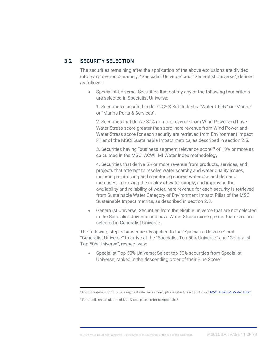# 3.2 SECURITY SELECTION

The securities remaining after the application of the above exclusions are divided into two sub-groups namely, "Specialist Universe" and "Generalist Universe", defined as follows:

• Specialist Universe: Securities that satisfy any of the following four criteria are selected in Specialist Universe:

1. Securities classified under GICS® Sub-Industry "Water Utility" or "Marine" or "Marine Ports & Services".

2. Securities that derive 30% or more revenue from Wind Power and have Water Stress score greater than zero, here revenue from Wind Power and Water Stress score for each security are retrieved from Environment Impact Pillar of the MSCI Sustainable Impact metrics, as described in section 2.5.

3. Securities having "business segment relevance score"<sup>3</sup> of 10% or more as calculated in the MSCI ACWI IMI Water Index methodology.

4. Securities that derive 5% or more revenue from products, services, and projects that attempt to resolve water scarcity and water quality issues, including minimizing and monitoring current water use and demand increases, improving the quality of water supply, and improving the availability and reliability of water, here revenue for each security is retrieved from Sustainable Water Category of Environment Impact Pillar of the MSCI Sustainable Impact metrics, as described in section 2.5.

• Generalist Universe: Securities from the eligible universe that are not selected in the Specialist Universe and have Water Stress score greater than zero are selected in Generalist Universe.

The following step is subsequently applied to the "Specialist Universe" and "Generalist Universe" to arrive at the "Specialist Top 50% Universe" and "Generalist Top 50% Universe", respectively:

• Specialist Top 50% Universe: Select top 50% securities from Specialist Universe, ranked in the descending order of their Blue Score<sup>4</sup>

<sup>&</sup>lt;sup>3</sup> For more details on "business segment relevance score", please refer to section 3.2.2 of [MSCI ACWI IMI Water Index](https://www.msci.com/eqb/methodology/meth_docs/MSCI_ACWI_IMI_Water_Index.pdf)

<sup>4</sup> For details on calculation of Blue Score, please refer to Appendix 2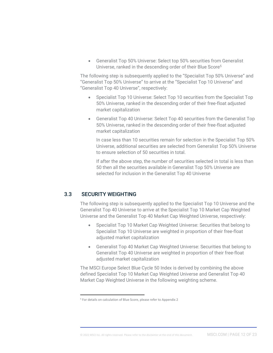• Generalist Top 50% Universe: Select top 50% securities from Generalist Universe, ranked in the descending order of their Blue Score<sup>5</sup>

The following step is subsequently applied to the "Specialist Top 50% Universe" and "Generalist Top 50% Universe" to arrive at the "Specialist Top 10 Universe" and "Generalist Top 40 Universe", respectively:

- Specialist Top 10 Universe: Select Top 10 securities from the Specialist Top 50% Universe, ranked in the descending order of their free-float adjusted market capitalization
- Generalist Top 40 Universe: Select Top 40 securities from the Generalist Top 50% Universe, ranked in the descending order of their free-float adjusted market capitalization

In case less than 10 securities remain for selection in the Specialist Top 50% Universe, additional securities are selected from Generalist Top 50% Universe to ensure selection of 50 securities in total.

If after the above step, the number of securities selected in total is less than 50 then all the securities available in Generalist Top 50% Universe are selected for inclusion in the Generalist Top 40 Universe

# 3.3 SECURITY WEIGHTING

The following step is subsequently applied to the Specialist Top 10 Universe and the Generalist Top 40 Universe to arrive at the Specialist Top 10 Market Cap Weighted Universe and the Generalist Top 40 Market Cap Weighted Universe, respectively:

- Specialist Top 10 Market Cap Weighted Universe: Securities that belong to Specialist Top 10 Universe are weighted in proportion of their free-float adjusted market capitalization
- Generalist Top 40 Market Cap Weighted Universe: Securities that belong to Generalist Top 40 Universe are weighted in proportion of their free-float adjusted market capitalization

The MSCI Europe Select Blue Cycle 50 Index is derived by combining the above defined Specialist Top 10 Market Cap Weighted Universe and Generalist Top 40 Market Cap Weighted Universe in the following weighting scheme.

<sup>5</sup> For details on calculation of Blue Score, please refer to Appendix 2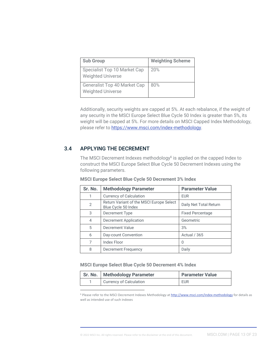| <b>Sub Group</b>                                                | <b>Weighting Scheme</b> |
|-----------------------------------------------------------------|-------------------------|
| Specialist Top 10 Market Cap<br><b>Weighted Universe</b>        | 20%                     |
| <b>Generalist Top 40 Market Cap</b><br><b>Weighted Universe</b> | 80%                     |

Additionally, security weights are capped at 5%. At each rebalance, if the weight of any security in the MSCI Europe Select Blue Cycle 50 Index is greater than 5%, its weight will be capped at 5%. For more details on MSCI Capped Index Methodology, please refer to [https://www.msci.com/index-methodology.](https://www.msci.com/index-methodology)

# 3.4 APPLYING THE DECREMENT

The MSCI Decrement Indexes methodology<sup>6</sup> is applied on the capped Index to construct the MSCI Europe Select Blue Cycle 50 Decrement Indexes using the following parameters.

|  | <b>MSCI Europe Select Blue Cycle 50 Decrement 3% Index</b> |  |
|--|------------------------------------------------------------|--|
|  |                                                            |  |

| Sr. No.        | <b>Methodology Parameter</b>                                    | <b>Parameter Value</b>  |
|----------------|-----------------------------------------------------------------|-------------------------|
|                | <b>Currency of Calculation</b>                                  | <b>EUR</b>              |
| $\overline{2}$ | Return Variant of the MSCI Europe Select<br>Blue Cycle 50 Index | Daily Net Total Return  |
| 3              | Decrement Type                                                  | <b>Fixed Percentage</b> |
| $\overline{4}$ | <b>Decrement Application</b>                                    | Geometric               |
| 5              | Decrement Value                                                 | 3%                      |
| 6              | Day-count Convention                                            | <b>Actual / 365</b>     |
| 7              | Index Floor                                                     | 0                       |
| 8              | Decrement Frequency                                             | Daily                   |

**MSCI Europe Select Blue Cycle 50 Decrement 4% Index**

| Sr. No.   Methodology Parameter | <b>Parameter Value</b> |
|---------------------------------|------------------------|
| <b>Currency of Calculation</b>  | <b>EUR</b>             |

<sup>6</sup> Please refer to the MSCI Decrement Indexes Methodology a[t http://www.msci.com/index-methodology](http://www.msci.com/index-methodology) for details as well as intended use of such indexes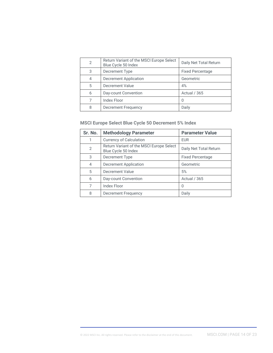| $\overline{2}$ | Return Variant of the MSCI Europe Select<br>Blue Cycle 50 Index | Daily Net Total Return  |
|----------------|-----------------------------------------------------------------|-------------------------|
| 3              | Decrement Type                                                  | <b>Fixed Percentage</b> |
| $\overline{4}$ | <b>Decrement Application</b>                                    | Geometric               |
| 5              | Decrement Value                                                 | 4%                      |
| 6              | Day-count Convention                                            | Actual / 365            |
|                | <b>Index Floor</b>                                              | 0                       |
| 8              | <b>Decrement Frequency</b>                                      | Daily                   |

# **MSCI Europe Select Blue Cycle 50 Decrement 5% Index**

| Sr. No.        | <b>Methodology Parameter</b>                                    | <b>Parameter Value</b>  |
|----------------|-----------------------------------------------------------------|-------------------------|
|                | <b>Currency of Calculation</b>                                  | <b>EUR</b>              |
| $\overline{2}$ | Return Variant of the MSCI Europe Select<br>Blue Cycle 50 Index | Daily Net Total Return  |
| 3              | Decrement Type                                                  | <b>Fixed Percentage</b> |
| $\overline{4}$ | <b>Decrement Application</b>                                    | Geometric               |
| 5              | Decrement Value                                                 | 5%                      |
| 6              | Day-count Convention                                            | <b>Actual / 365</b>     |
| 7              | <b>Index Floor</b>                                              | O                       |
| 8              | <b>Decrement Frequency</b>                                      | Daily                   |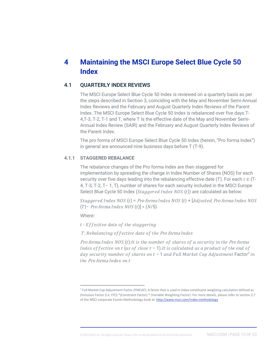# **4 Maintaining the MSCI Europe Select Blue Cycle 50 Index**

# 4.1 QUARTERLY INDEX REVIEWS

The MSCI Europe Select Blue Cycle 50 Index is reviewed on a quarterly basis as per the steps described in Section 3, coinciding with the May and November Semi-Annual Index Reviews and the February and August Quarterly Index Reviews of the Parent Index. The MSCI Europe Select Blue Cycle 50 Index is rebalanced over five days T-4,T-3, T-2, T-1 and T, where T Is the effective date of the May and November Semi-Annual Index Review (SAIR) and the February and August Quarterly Index Reviews of the Parent Index.

The pro forma of MSCI Europe Select Blue Cycle 50 Index (herein, "Pro forma Index") in general are announced nine business days before T (T-9).

## **4.1.1 STAGGERED REBALANCE**

The rebalance changes of the Pro forma Index are then staggered for implementation by spreading the change in Index Number of Shares (NOS) for each security over five days leading into the rebalancing effective date (T). For each  $t \in \{T-$ 4, T-3, T-2, T− 1, T}, number of shares for each security included in the MSCI Europe Select Blue Cycle 50 Index ( $Stagger$  Index NOS  $(t)$ ) are calculated as below:

Staggered Index NOS  $(t)$  = Pro forma Index NOS  $(t)$  + [Adjusted Pro forma Index NOS  $(T)$ – Pro forma Index NOS (t)] \* (N/5)

Where:

 $t$ : Effective date of the staggering

T: Rebalancing effective date of the Pro forma Index

Pro forma Index NOS  $(t)$ : It is the number of shares of a security in the Pro forma Index effective on t (as of close  $t - 1$ ). It is calculated as a product of the end of day security number of shares on t – 1 and Full Market Cap Adjustment <code>Factor</code><sup>7</sup> in  $the Pro forma Index on t$ 

<sup>7</sup> Full Market Cap Adjustment Factor (FMCAF): A factor that is used in index constituent weighting calculation defined as (Inclusion Factor (i.e. FIF)) \*(Constraint Factor) \* (Variable Weighting Factor). For more details, please refer to section 2.7 of the MSCI corporate Events Methodology book at <http://www.msci.com/index-methodology>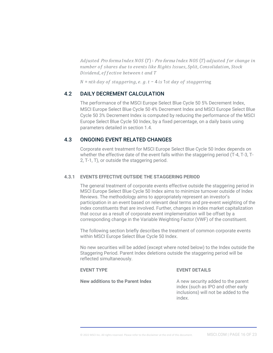Adjusted Pro forma Index NOS  $(T)$ : Pro forma Index NOS  $(T)$  adjusted for change in number of shares due to events like Rights Issues, Split, Consolidation, Stock Dividend, effective between t and T

 $N = nth$  day of staggering, e.g.  $t - 4$  is 1st day of staggerring

# 4.2 DAILY DECREMENT CALCULATION

The performance of the MSCI Europe Select Blue Cycle 50 5% Decrement Index, MSCI Europe Select Blue Cycle 50 4% Decrement Index and MSCI Europe Select Blue Cycle 50 3% Decrement Index is computed by reducing the performance of the MSCI Europe Select Blue Cycle 50 Index, by a fixed percentage, on a daily basis using parameters detailed in section 1.4.

# 4.3 ONGOING EVENT RELATED CHANGES

Corporate event treatment for MSCI Europe Select Blue Cycle 50 Index depends on whether the effective date of the event falls within the staggering period (T-4, T-3, T-2, T-1, T), or outside the staggering period.

# **4.3.1 EVENTS EFFECTIVE OUTSIDE THE STAGGERING PERIOD**

The general treatment of corporate events effective outside the staggering period in MSCI Europe Select Blue Cycle 50 Index aims to minimize turnover outside of Index Reviews. The methodology aims to appropriately represent an investor's participation in an event based on relevant deal terms and pre-event weighting of the index constituents that are involved. Further, changes in index market capitalization that occur as a result of corporate event implementation will be offset by a corresponding change in the Variable Weighting Factor (VWF) of the constituent.

The following section briefly describes the treatment of common corporate events within MSCI Europe Select Blue Cycle 50 Index.

No new securities will be added (except where noted below) to the Index outside the Staggering Period. Parent Index deletions outside the staggering period will be reflected simultaneously.

**New additions to the Parent Index** A new security added to the parent

# **EVENT TYPE EVENT DETAILS**

index (such as IPO and other early inclusions) will not be added to the index.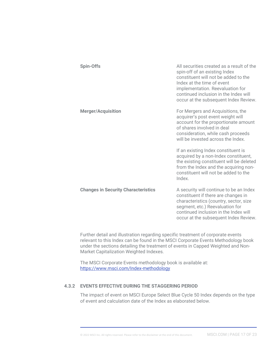| <b>Spin-Offs</b>                           | All securities created as a result of the<br>spin-off of an existing Index<br>constituent will not be added to the<br>Index at the time of event<br>implementation. Reevaluation for<br>continued inclusion in the Index will<br>occur at the subsequent Index Review. |
|--------------------------------------------|------------------------------------------------------------------------------------------------------------------------------------------------------------------------------------------------------------------------------------------------------------------------|
| <b>Merger/Acquisition</b>                  | For Mergers and Acquisitions, the<br>acquirer's post event weight will<br>account for the proportionate amount<br>of shares involved in deal<br>consideration, while cash proceeds<br>will be invested across the Index.                                               |
|                                            | If an existing Index constituent is<br>acquired by a non-Index constituent,<br>the existing constituent will be deleted<br>from the Index and the acquiring non-<br>constituent will not be added to the<br>Index.                                                     |
| <b>Changes in Security Characteristics</b> | A security will continue to be an Index<br>constituent if there are changes in<br>characteristics (country, sector, size<br>segment, etc.) Reevaluation for<br>continued inclusion in the Index will<br>occur at the subsequent Index Review.                          |

Further detail and illustration regarding specific treatment of corporate events relevant to this Index can be found in the MSCI Corporate Events Methodology book under the sections detailing the treatment of events in Capped Weighted and Non-Market Capitalization Weighted Indexes.

The MSCI Corporate Events methodology book is available at: <https://www.msci.com/Index-methodology>

### **4.3.2 EVENTS EFFECTIVE DURING THE STAGGERING PERIOD**

The impact of event on MSCI Europe Select Blue Cycle 50 Index depends on the type of event and calculation date of the Index as elaborated below.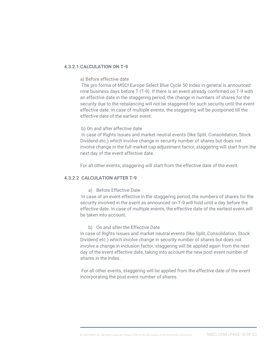## **4.3.2.1 CALCULATION ON T-9**

## a) Before effective date

The pro forma of MSCI Europe Select Blue Cycle 50 Index in general is announced nine business days before T (T-9). If there is an event already confirmed on T-9 with an effective date in the staggering period, the change in numbers of shares for the security due to the rebalancing will not be staggered for such security until the event effective date. In case of multiple events, the staggering will be postponed till the effective date of the earliest event.

#### b) On and after effective date

In case of Rights Issues and market neutral events (like Split, Consolidation, Stock Dividend etc.) which involve change in security number of shares but does not involve change in the full market cap adjustment factor, staggering will start from the next day of the event effective date.

For all other events, staggering will start from the effective date of the event.

# **4.3.2.2 CALCULATION AFTER T-9**

#### a) Before Effective Date

In case of an event effective in the staggering period, the numbers of shares for the security involved in the event as announced on T-9 will hold until a day before the effective date. In case of multiple events, the effective date of the earliest event will be taken into account.

#### b) On and after the Effective Date

In case of Rights Issues and market neutral events (like Split, Consolidation, Stock Dividend etc.) which involve change in security number of shares but does not involve a change in inclusion factor, staggering will be applied again from the next day of the event effective date, taking into account the new post event number of shares in the Index.

For all other events, staggering will be applied from the effective date of the event incorporating the post event number of shares.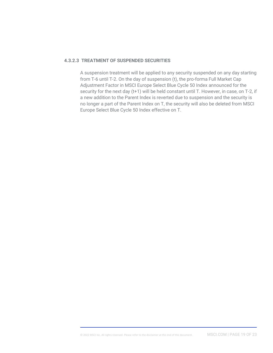## **4.3.2.3 TREATMENT OF SUSPENDED SECURITIES**

A suspension treatment will be applied to any security suspended on any day starting from T-6 until T-2. On the day of suspension (t), the pro-forma Full Market Cap Adjustment Factor in MSCI Europe Select Blue Cycle 50 Index announced for the security for the next day (t+1) will be held constant until T. However, in case, on T-2, if a new addition to the Parent Index is reverted due to suspension and the security is no longer a part of the Parent Index on T, the security will also be deleted from MSCI Europe Select Blue Cycle 50 Index effective on T.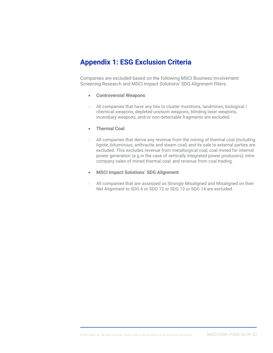# **Appendix 1: ESG Exclusion Criteria**

Companies are excluded based on the following MSCI Business Involvement Screening Research and MSCI Impact Solutions' SDG Alignment filters:

- **Controversial Weapons**
- All companies that have any ties to cluster munitions, landmines, biological / chemical weapons, depleted uranium weapons, blinding laser weapons, incendiary weapons, and/or non-detectable fragments are excluded
- **Thermal Coal**
- All companies that derive any revenue from the mining of thermal coal (including lignite, bituminous, anthracite and steam coal) and its sale to external parties are excluded. This excludes revenue from metallurgical coal; coal mined for internal power generation (e.g.in the case of vertically integrated power producers); intracompany sales of mined thermal coal; and revenue from coal trading.

#### • **MSCI Impact Solutions' SDG Alignment**

All companies that are assessed as Strongly Misaligned and Misaligned on their Net Alignment to SDG 6 or SDG 12 or SDG 13 or SDG 14 are excluded.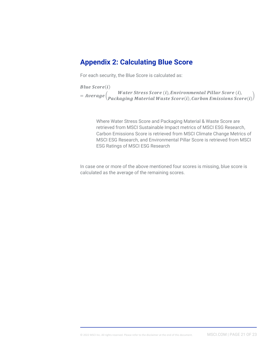# **Appendix 2: Calculating Blue Score**

For each security, the Blue Score is calculated as:

 $Blue Score(i)$ 

 $= Average \left( \frac{Water \, Stress \, Score \, (i)}{Reslesesines \, Matorial \, Watson} \right)$   $\mathcal{L} = \mathcal{L} = \mathcal{L}$  $\textit{Packaging Material}\textit{Waste Score}(i), \textit{Carbon Emissions Score}(i)$ 

Where Water Stress Score and Packaging Material & Waste Score are retrieved from MSCI Sustainable Impact metrics of MSCI ESG Research, Carbon Emissions Score is retrieved from MSCI Climate Change Metrics of MSCI ESG Research, and Environmental Pillar Score is retrieved from MSCI ESG Ratings of MSCI ESG Research

In case one or more of the above mentioned four scores is missing, blue score is calculated as the average of the remaining scores.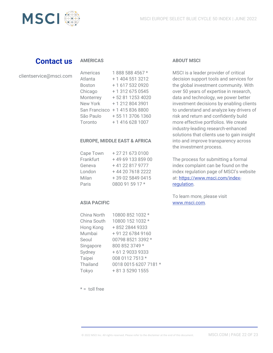

# **Contact us**

# **AMERICAS**

| clientservice@msci.com |
|------------------------|
|------------------------|

| Americas        | 1888 588 4567 *   |
|-----------------|-------------------|
| Atlanta         | + 1 404 551 3212  |
| <b>Boston</b>   | +1 617 532 0920   |
| Chicago         | + 1 312 675 0545  |
| Monterrey       | + 52 81 1253 4020 |
| <b>New York</b> | +12128043901      |
| San Francisco   | + 1 415 836 8800  |
| São Paulo       | + 55 11 3706 1360 |
| Toronto         | +1 416 628 1007   |

## **EUROPE, MIDDLE EAST & AFRICA**

| Cape Town | +27216730100     |
|-----------|------------------|
| Frankfurt | +496913385900    |
| Geneva    | +41 22 817 9777  |
| London    | +44 20 7618 2222 |
| Milan     | +39 02 5849 0415 |
| Paris     | 0800 91 59 17 *  |

# **ASIA PACIFIC**

| China North     | 10800 852 1032 *      |
|-----------------|-----------------------|
| China South     | 10800 152 1032 *      |
| Hong Kong       | +852 2844 9333        |
| Mumbai          | + 91 22 6784 9160     |
| Seoul           | 00798 8521 3392 *     |
| Singapore       | 800 852 3749 *        |
| Sydney          | + 61 2 9033 9333      |
| Taipei          | 008 0112 7513 *       |
| <b>Thailand</b> | 0018 0015 6207 7181 * |
| Tokyo           | + 81 3 5290 1555      |

### $* =$  toll free

## **ABOUT MSCI**

MSCI is a leader provider of critical decision support tools and services for the global investment community. With over 50 years of expertise in research, data and technology, we power better investment decisions by enabling clients to understand and analyze key drivers of risk and return and confidently build more effective portfolios. We create industry-leading research-enhanced solutions that clients use to gain insight into and improve transparency across the investment process.

The process for submitting a formal index complaint can be found on the index regulation page of MSCI's website at: [https://www.msci.com/index](https://www.msci.com/index-regulation)[regulation.](https://www.msci.com/index-regulation)

To learn more, please visit [www.msci.com.](https://www.msci.com/)